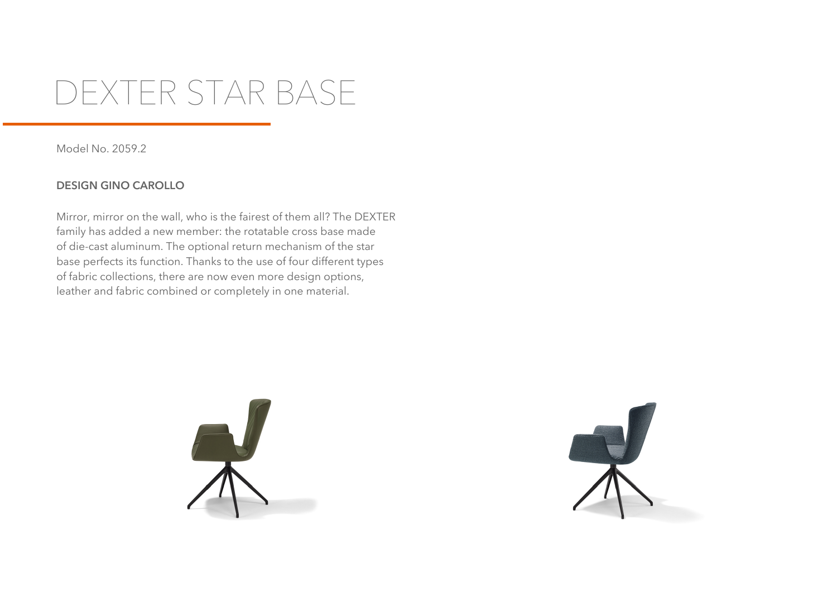## **DEXTER STAR BASE**

Model No. 2059.2

## **DESIGN GINO CAROLLO**

Mirror, mirror on the wall, who is the fairest of them all? The DEXTER family has added a new member: the rotatable cross base made of die-cast aluminum. The optional return mechanism of the star base perfects its function. Thanks to the use of four different types of fabric collections, there are now even more design options, leather and fabric combined or completely in one material.